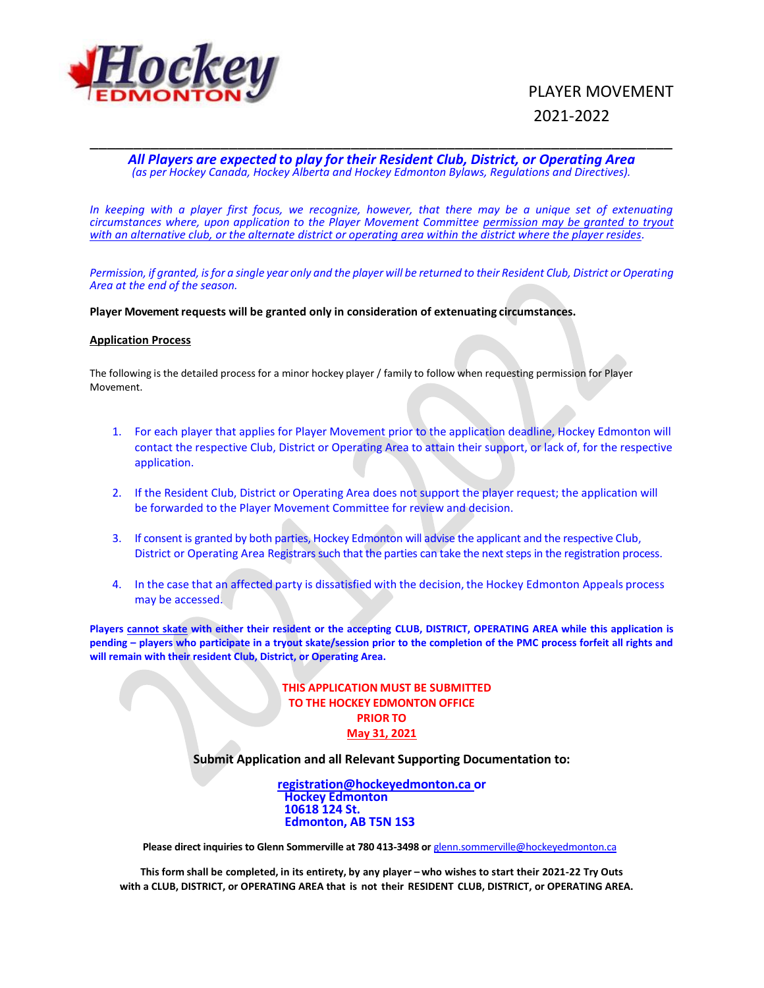

# PLAYER MOVEMENT 2021-2022

## \_\_\_\_\_\_\_\_\_\_\_\_\_\_\_\_\_\_\_\_\_\_\_\_\_\_\_\_\_\_\_\_\_\_\_\_\_\_\_\_\_\_\_\_\_\_\_\_\_\_\_\_\_\_\_\_\_\_\_\_\_\_\_\_\_\_\_ *All Players are expected to play for their Resident Club, District, or Operating Area (as per Hockey Canada, Hockey Alberta and Hockey Edmonton Bylaws, Regulations and Directives).*

*In keeping with a player first focus, we recognize, however, that there may be a unique set of extenuating circumstances where, upon application to the Player Movement Committee permission may be granted to tryout with an alternative club, or the alternate district or operating area within the district where the player resides.* 

*Permission, if granted, is for a single year only and the player will be returned to their Resident Club, District or Operating Area at the end of the season.*

**Player Movement requests will be granted only in consideration of extenuating circumstances.**

#### **Application Process**

The following is the detailed process for a minor hockey player / family to follow when requesting permission for Player Movement.

- 1. For each player that applies for Player Movement prior to the application deadline, Hockey Edmonton will contact the respective Club, District or Operating Area to attain their support, or lack of, for the respective application.
- 2. If the Resident Club, District or Operating Area does not support the player request; the application will be forwarded to the Player Movement Committee for review and decision.
- 3. If consent is granted by both parties, Hockey Edmonton will advise the applicant and the respective Club, District or Operating Area Registrars such that the parties can take the next steps in the registration process.
- 4. In the case that an affected party is dissatisfied with the decision, the Hockey Edmonton Appeals process may be accessed.

**Players cannot skate with either their resident or the accepting CLUB, DISTRICT, OPERATING AREA while this application is pending – players who participate in a tryout skate/session prior to the completion of the PMC process forfeit all rights and will remain with their resident Club, District, or Operating Area.**

## **THIS APPLICATION MUST BE SUBMITTED TO THE HOCKEY EDMONTON OFFICE PRIOR TO May 31, 2021**

**Submit Application and all Relevant Supporting Documentation to:**

**[registration@hockeyedmonton.ca](mailto:registration@hockeyedmonton.ca) or Hockey Edmonton 10618 124 St. Edmonton, AB T5N 1S3**

 **Please direct inquiries to Glenn Sommerville at 780 413-3498 or** [glenn.sommerville@hockeyedmonton.ca](mailto:glenn.sommerville@hockeyedmonton.ca)

**This form shall be completed, in its entirety, by any player – who wishes to start their 2021-22 Try Outs with a CLUB, DISTRICT, or OPERATING AREA that is not their RESIDENT CLUB, DISTRICT, or OPERATING AREA.**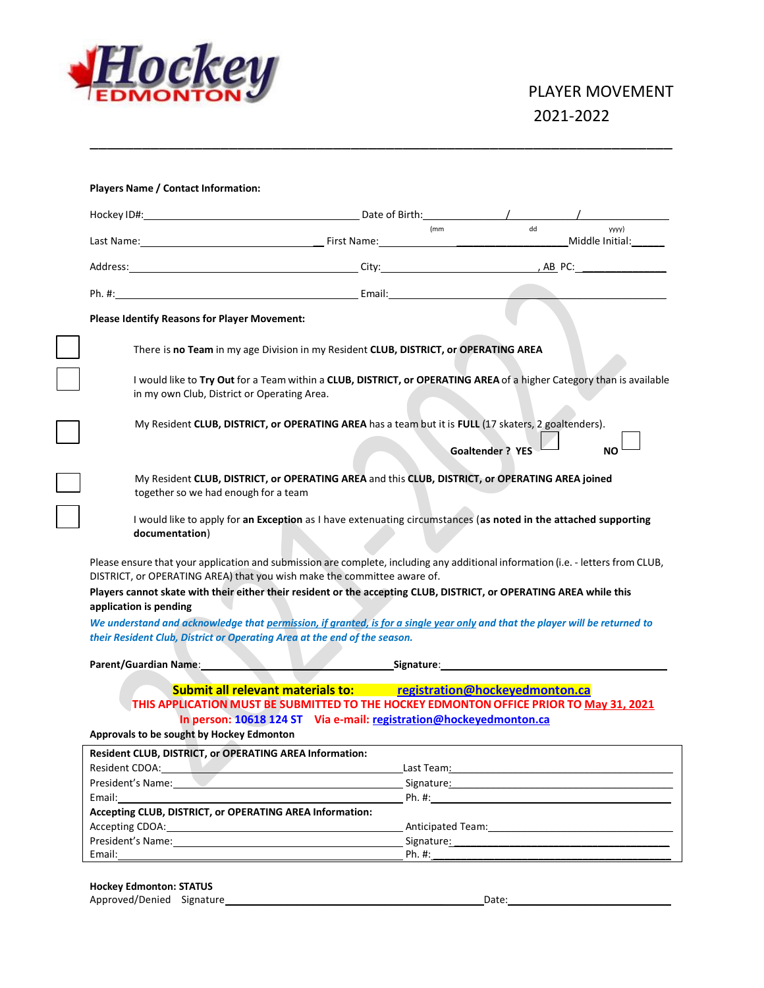

|                                                                                       | (mm)                                                                                                                                                                                                                             | dd<br>уууу)                                                                                                                                                                                                                    |
|---------------------------------------------------------------------------------------|----------------------------------------------------------------------------------------------------------------------------------------------------------------------------------------------------------------------------------|--------------------------------------------------------------------------------------------------------------------------------------------------------------------------------------------------------------------------------|
|                                                                                       |                                                                                                                                                                                                                                  |                                                                                                                                                                                                                                |
|                                                                                       |                                                                                                                                                                                                                                  |                                                                                                                                                                                                                                |
| Please Identify Reasons for Player Movement:                                          |                                                                                                                                                                                                                                  |                                                                                                                                                                                                                                |
|                                                                                       | There is no Team in my age Division in my Resident CLUB, DISTRICT, or OPERATING AREA                                                                                                                                             |                                                                                                                                                                                                                                |
| in my own Club, District or Operating Area.                                           | I would like to Try Out for a Team within a CLUB, DISTRICT, or OPERATING AREA of a higher Category than is available                                                                                                             |                                                                                                                                                                                                                                |
|                                                                                       | My Resident CLUB, DISTRICT, or OPERATING AREA has a team but it is FULL (17 skaters, 2 goaltenders).                                                                                                                             | <b>Goaltender ? YES</b><br><b>NO</b>                                                                                                                                                                                           |
|                                                                                       | My Resident CLUB, DISTRICT, or OPERATING AREA and this CLUB, DISTRICT, or OPERATING AREA joined                                                                                                                                  |                                                                                                                                                                                                                                |
| together so we had enough for a team                                                  |                                                                                                                                                                                                                                  |                                                                                                                                                                                                                                |
|                                                                                       | I would like to apply for an Exception as I have extenuating circumstances (as noted in the attached supporting                                                                                                                  |                                                                                                                                                                                                                                |
| documentation)                                                                        |                                                                                                                                                                                                                                  |                                                                                                                                                                                                                                |
|                                                                                       | Please ensure that your application and submission are complete, including any additional information (i.e. - letters from CLUB,                                                                                                 |                                                                                                                                                                                                                                |
| application is pending                                                                | DISTRICT, or OPERATING AREA) that you wish make the committee aware of.<br>Players cannot skate with their either their resident or the accepting CLUB, DISTRICT, or OPERATING AREA while this                                   |                                                                                                                                                                                                                                |
|                                                                                       | We understand and acknowledge that permission, if granted, is for a single year only and that the player will be returned to                                                                                                     |                                                                                                                                                                                                                                |
|                                                                                       | their Resident Club, District or Operating Area at the end of the season.                                                                                                                                                        |                                                                                                                                                                                                                                |
| Parent/Guardian Name:                                                                 |                                                                                                                                                                                                                                  | <b>Example 2018</b> Signature: <b>Contract 2018</b> Signature:                                                                                                                                                                 |
|                                                                                       | Submit all relevant materials to: registration@hockeyedmonton.ca<br>THIS APPLICATION MUST BE SUBMITTED TO THE HOCKEY EDMONTON OFFICE PRIOR TO May 31, 2021<br>In person: 10618 124 ST Via e-mail: registration@hockeyedmonton.ca |                                                                                                                                                                                                                                |
| Approvals to be sought by Hockey Edmonton                                             |                                                                                                                                                                                                                                  |                                                                                                                                                                                                                                |
| Resident CLUB, DISTRICT, or OPERATING AREA Information:<br>Resident CDOA: New York    |                                                                                                                                                                                                                                  | Last Team: National Contract of the Contract of the Contract of the Contract of the Contract of the Contract of the Contract of the Contract of the Contract of the Contract of the Contract of the Contract of the Contract o |
| President's Name:                                                                     |                                                                                                                                                                                                                                  | Signature: Signature: Signature: Signature: Signature: Signature: Signature: Signature: Signature: Signature: Signature: Signature: Signature: Signature: Signature: Signature: Signature: Signature: Signature: Signature: Si |
| Email:<br>Accepting CLUB, DISTRICT, or OPERATING AREA Information:<br>Accepting CDOA: |                                                                                                                                                                                                                                  | Ph. #:                                                                                                                                                                                                                         |

\_\_\_\_\_\_\_\_\_\_\_\_\_\_\_\_\_\_\_\_\_\_\_\_\_\_\_\_\_\_\_\_\_\_\_\_\_\_\_\_\_\_\_\_\_\_\_\_\_\_\_\_\_\_\_\_\_\_\_\_\_\_\_\_\_\_\_

## **Hockey Edmonton: STATUS**

| Approved/Denied | $\sim$<br>Signature | Date: |  |
|-----------------|---------------------|-------|--|
|                 |                     |       |  |